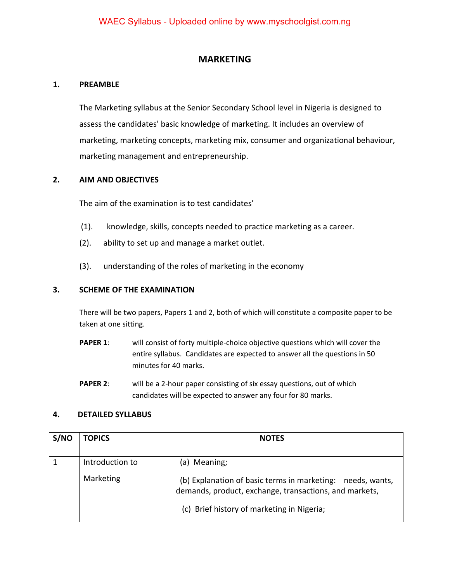## **MARKETING**

### **1. PREAMBLE**

 The Marketing syllabus at the Senior Secondary School level in Nigeria is designed to assess the candidates' basic knowledge of marketing. It includes an overview of marketing, marketing concepts, marketing mix, consumer and organizational behaviour, marketing management and entrepreneurship.

### **2. AIM AND OBJECTIVES**

The aim of the examination is to test candidates'

- (1). knowledge, skills, concepts needed to practice marketing as a career.
- (2). ability to set up and manage a market outlet.
- (3). understanding of the roles of marketing in the economy

## **3. SCHEME OF THE EXAMINATION**

There will be two papers, Papers 1 and 2, both of which will constitute a composite paper to be taken at one sitting.

- **PAPER 1**: will consist of forty multiple-choice objective questions which will cover the entire syllabus. Candidates are expected to answer all the questions in 50 minutes for 40 marks.
- **PAPER 2:** will be a 2-hour paper consisting of six essay questions, out of which candidates will be expected to answer any four for 80 marks.

#### **4. DETAILED SYLLABUS**

| S/NO | <b>TOPICS</b>                | <b>NOTES</b>                                                                                                                                                                            |
|------|------------------------------|-----------------------------------------------------------------------------------------------------------------------------------------------------------------------------------------|
|      | Introduction to<br>Marketing | Meaning;<br>a)<br>(b) Explanation of basic terms in marketing:<br>needs, wants,<br>demands, product, exchange, transactions, and markets,<br>(c) Brief history of marketing in Nigeria; |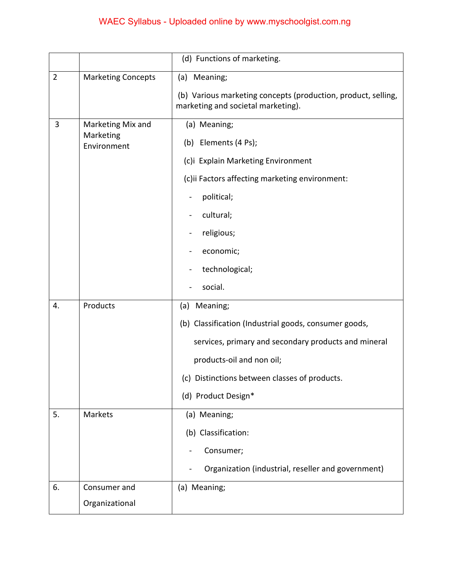# WAEC Syllabus - Uploaded online by www.myschoolgist.com.ng

|                |                                               | (d) Functions of marketing.                                                                         |
|----------------|-----------------------------------------------|-----------------------------------------------------------------------------------------------------|
| $\overline{2}$ | <b>Marketing Concepts</b>                     | (a) Meaning;                                                                                        |
|                |                                               | (b) Various marketing concepts (production, product, selling,<br>marketing and societal marketing). |
| 3              | Marketing Mix and<br>Marketing<br>Environment | (a) Meaning;                                                                                        |
|                |                                               | (b) Elements (4 Ps);                                                                                |
|                |                                               | (c)i Explain Marketing Environment                                                                  |
|                |                                               | (c)ii Factors affecting marketing environment:                                                      |
|                |                                               | political;                                                                                          |
|                |                                               | cultural;                                                                                           |
|                |                                               | religious;                                                                                          |
|                |                                               | economic;                                                                                           |
|                |                                               | technological;                                                                                      |
|                |                                               | social.                                                                                             |
| 4.             | Products                                      | (a) Meaning;                                                                                        |
|                |                                               | (b) Classification (Industrial goods, consumer goods,                                               |
|                |                                               | services, primary and secondary products and mineral                                                |
|                |                                               | products-oil and non oil;                                                                           |
|                |                                               | (c) Distinctions between classes of products.                                                       |
|                |                                               | (d) Product Design*                                                                                 |
| 5.             | Markets                                       | (a) Meaning;                                                                                        |
|                |                                               | (b) Classification:                                                                                 |
|                |                                               | Consumer;                                                                                           |
|                |                                               | Organization (industrial, reseller and government)                                                  |
| 6.             | Consumer and                                  | (a) Meaning;                                                                                        |
|                | Organizational                                |                                                                                                     |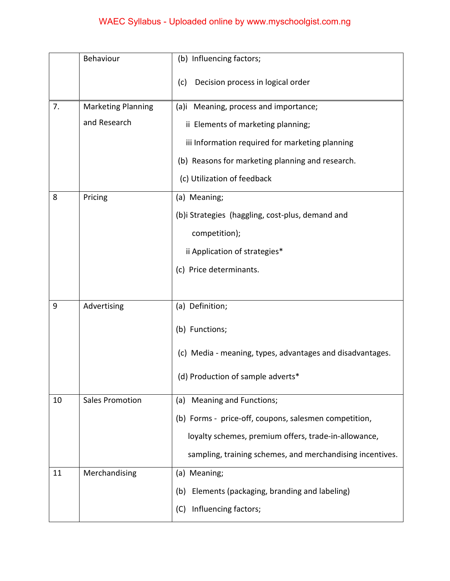# WAEC Syllabus - Uploaded online by www.myschoolgist.com.ng

|    | Behaviour              | (b) Influencing factors;                                  |
|----|------------------------|-----------------------------------------------------------|
|    |                        | Decision process in logical order<br>(c)                  |
| 7. | Marketing Planning     | (a)i Meaning, process and importance;                     |
|    | and Research           | ii Elements of marketing planning;                        |
|    |                        | iii Information required for marketing planning           |
|    |                        | (b) Reasons for marketing planning and research.          |
|    |                        | (c) Utilization of feedback                               |
| 8  | Pricing                | (a) Meaning;                                              |
|    |                        | (b)i Strategies (haggling, cost-plus, demand and          |
|    |                        | competition);                                             |
|    |                        | ii Application of strategies*                             |
|    |                        | (c) Price determinants.                                   |
|    |                        |                                                           |
| 9  | Advertising            | (a) Definition;                                           |
|    |                        | (b) Functions;                                            |
|    |                        | (c) Media - meaning, types, advantages and disadvantages. |
|    |                        | (d) Production of sample adverts*                         |
| 10 | <b>Sales Promotion</b> | Meaning and Functions;<br>(a)                             |
|    |                        | (b) Forms - price-off, coupons, salesmen competition,     |
|    |                        | loyalty schemes, premium offers, trade-in-allowance,      |
|    |                        | sampling, training schemes, and merchandising incentives. |
| 11 | Merchandising          | (a) Meaning;                                              |
|    |                        | Elements (packaging, branding and labeling)<br>(b)        |
|    |                        | Influencing factors;<br>(C)                               |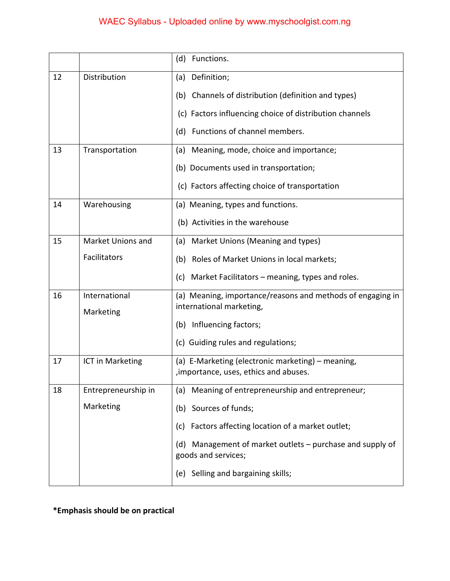## WAEC Syllabus - Uploaded online by www.myschoolgist.com.ng

|    |                     | (d)<br>Functions.                                                                           |
|----|---------------------|---------------------------------------------------------------------------------------------|
| 12 | Distribution        | Definition;<br>(a)                                                                          |
|    |                     | (b) Channels of distribution (definition and types)                                         |
|    |                     | (c) Factors influencing choice of distribution channels                                     |
|    |                     | (d) Functions of channel members.                                                           |
| 13 | Transportation      | Meaning, mode, choice and importance;<br>(a)                                                |
|    |                     | (b) Documents used in transportation;                                                       |
|    |                     | (c) Factors affecting choice of transportation                                              |
| 14 | Warehousing         | (a) Meaning, types and functions.                                                           |
|    |                     | (b) Activities in the warehouse                                                             |
| 15 | Market Unions and   | Market Unions (Meaning and types)<br>(a)                                                    |
|    | Facilitators        | Roles of Market Unions in local markets;<br>(b)                                             |
|    |                     | Market Facilitators – meaning, types and roles.<br>(c)                                      |
| 16 | International       | (a) Meaning, importance/reasons and methods of engaging in<br>international marketing,      |
|    | Marketing           | (b) Influencing factors;                                                                    |
|    |                     | (c) Guiding rules and regulations;                                                          |
|    |                     |                                                                                             |
| 17 | ICT in Marketing    | (a) E-Marketing (electronic marketing) - meaning,<br>, importance, uses, ethics and abuses. |
| 18 | Entrepreneurship in | Meaning of entrepreneurship and entrepreneur;<br>(a)                                        |
|    | Marketing           | Sources of funds;<br>(b)                                                                    |
|    |                     | (c) Factors affecting location of a market outlet;                                          |
|    |                     | Management of market outlets - purchase and supply of<br>(d)<br>goods and services;         |
|    |                     | (e) Selling and bargaining skills;                                                          |

**\*Emphasis should be on practical**